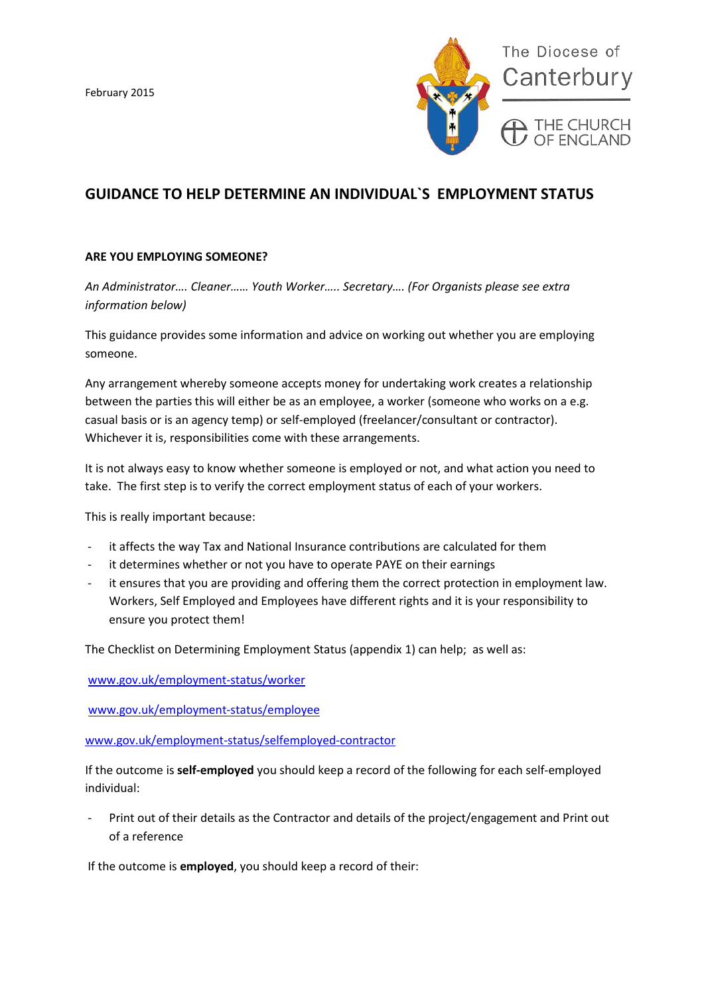

# **GUIDANCE TO HELP DETERMINE AN INDIVIDUAL`S EMPLOYMENT STATUS**

#### **ARE YOU EMPLOYING SOMEONE?**

*An Administrator…. Cleaner…… Youth Worker….. Secretary…. (For Organists please see extra information below)*

This guidance provides some information and advice on working out whether you are employing someone.

Any arrangement whereby someone accepts money for undertaking work creates a relationship between the parties this will either be as an employee, a worker (someone who works on a e.g. casual basis or is an agency temp) or self-employed (freelancer/consultant or contractor). Whichever it is, responsibilities come with these arrangements.

It is not always easy to know whether someone is employed or not, and what action you need to take. The first step is to verify the correct employment status of each of your workers.

This is really important because:

- it affects the way Tax and National Insurance contributions are calculated for them
- it determines whether or not you have to operate PAYE on their earnings
- it ensures that you are providing and offering them the correct protection in employment law. Workers, Self Employed and Employees have different rights and it is your responsibility to ensure you protect them!

The Checklist on Determining Employment Status (appendix 1) can help; as well as:

[www.gov.uk/employment-status/worker](http://www.gov.uk/employment-status/worker)

[www.gov.uk/employment-status/employee](http://www.gov.uk/employment-status/employee)

[www.gov.uk/employment-status/selfemployed-contractor](http://www.gov.uk/employment-status/selfemployed-contractor)

If the outcome is **self-employed** you should keep a record of the following for each self-employed individual:

Print out of their details as the Contractor and details of the project/engagement and Print out of a reference

If the outcome is **employed**, you should keep a record of their: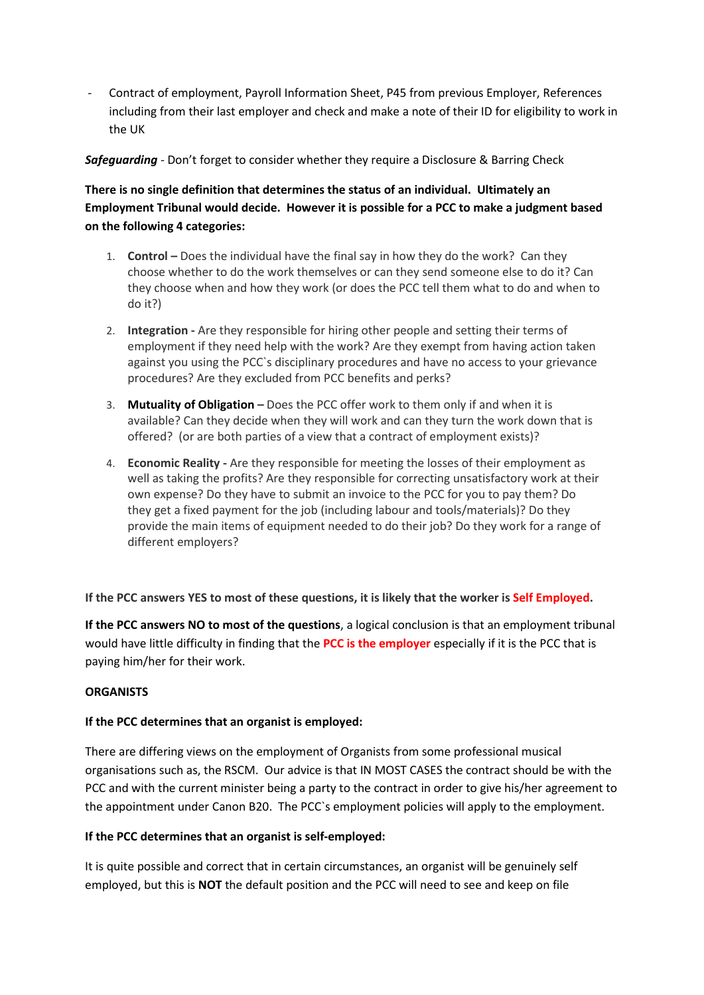- Contract of employment, Payroll Information Sheet, P45 from previous Employer, References including from their last employer and check and make a note of their ID for eligibility to work in the UK

### *Safeguarding* - Don't forget to consider whether they require a Disclosure & Barring Check

**There is no single definition that determines the status of an individual. Ultimately an Employment Tribunal would decide. However it is possible for a PCC to make a judgment based on the following 4 categories:**

- 1. **Control –** Does the individual have the final say in how they do the work? Can they choose whether to do the work themselves or can they send someone else to do it? Can they choose when and how they work (or does the PCC tell them what to do and when to do it?)
- 2. **Integration -** Are they responsible for hiring other people and setting their terms of employment if they need help with the work? Are they exempt from having action taken against you using the PCC`s disciplinary procedures and have no access to your grievance procedures? Are they excluded from PCC benefits and perks?
- 3. **[Mutuality of Obligation](http://www.contractoradvisor.co.uk/guides/ir35-what-is-mutuality-of-obligation/) –** Does the PCC offer work to them only if and when it is available? Can they decide when they will work and can they turn the work down that is offered? (or are both parties of a view that a contract of employment exists)?
- 4. **Economic Reality -** Are they responsible for meeting the losses of their employment as well as taking the profits? Are they responsible for correcting unsatisfactory work at their own expense? Do they have to submit an invoice to the PCC for you to pay them? Do they get a fixed payment for the job (including labour and tools/materials)? Do they provide the main items of equipment needed to do their job? Do they work for a range of different employers?

### **If the PCC answers YES to most of these questions, it is likely that the worker is Self Employed.**

**If the PCC answers NO to most of the questions**, a logical conclusion is that an employment tribunal would have little difficulty in finding that the **PCC is the employer** especially if it is the PCC that is paying him/her for their work.

### **ORGANISTS**

### **If the PCC determines that an organist is employed:**

There are differing views on the employment of Organists from some professional musical organisations such as, the RSCM. Our advice is that IN MOST CASES the contract should be with the PCC and with the current minister being a party to the contract in order to give his/her agreement to the appointment under Canon B20. The PCC`s employment policies will apply to the employment.

### **If the PCC determines that an organist is self-employed:**

It is quite possible and correct that in certain circumstances, an organist will be genuinely self employed, but this is **NOT** the default position and the PCC will need to see and keep on file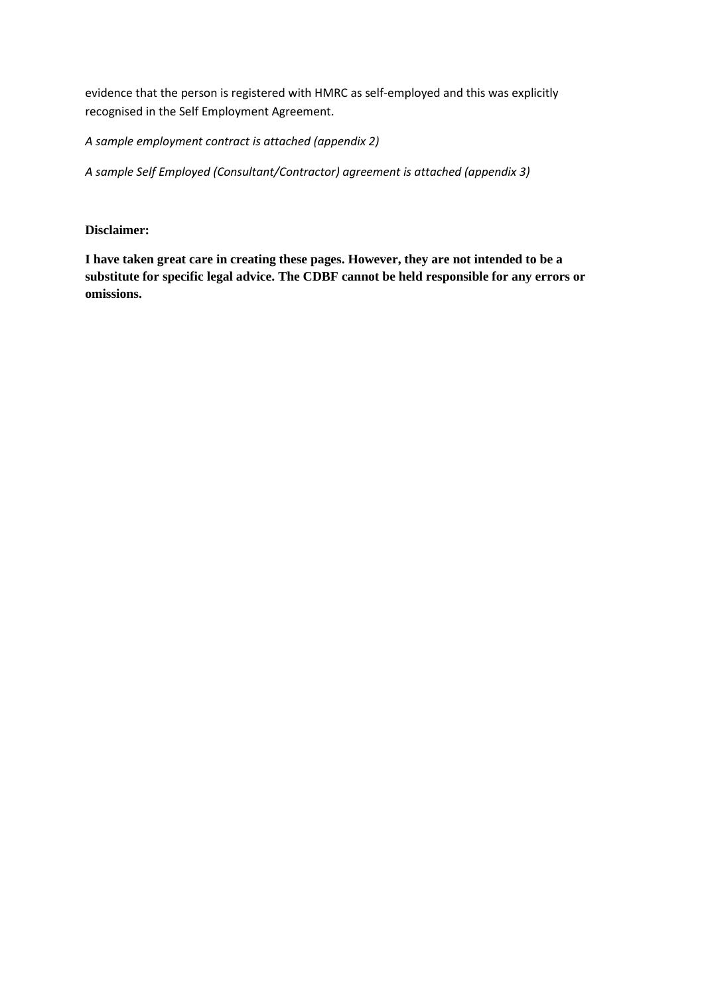evidence that the person is registered with HMRC as self-employed and this was explicitly recognised in the Self Employment Agreement.

*A sample employment contract is attached (appendix 2)*

*A sample Self Employed (Consultant/Contractor) agreement is attached (appendix 3)*

### **Disclaimer:**

**I have taken great care in creating these pages. However, they are not intended to be a substitute for specific legal advice. The CDBF cannot be held responsible for any errors or omissions.**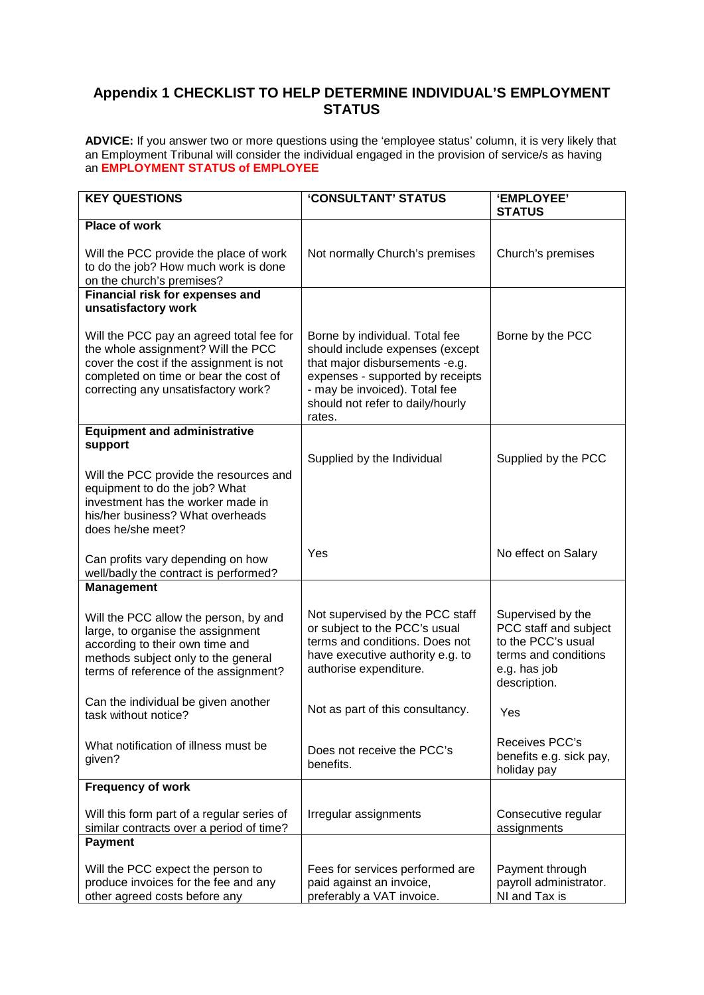## **Appendix 1 CHECKLIST TO HELP DETERMINE INDIVIDUAL'S EMPLOYMENT STATUS**

**ADVICE:** If you answer two or more questions using the 'employee status' column, it is very likely that an Employment Tribunal will consider the individual engaged in the provision of service/s as having an **EMPLOYMENT STATUS of EMPLOYEE**

| <b>KEY QUESTIONS</b>                                                                                                                                                                                      | 'CONSULTANT' STATUS                                                                                                                                                                                                    | 'EMPLOYEE'<br><b>STATUS</b>                                                                                              |
|-----------------------------------------------------------------------------------------------------------------------------------------------------------------------------------------------------------|------------------------------------------------------------------------------------------------------------------------------------------------------------------------------------------------------------------------|--------------------------------------------------------------------------------------------------------------------------|
| <b>Place of work</b>                                                                                                                                                                                      |                                                                                                                                                                                                                        |                                                                                                                          |
| Will the PCC provide the place of work<br>to do the job? How much work is done<br>on the church's premises?                                                                                               | Not normally Church's premises                                                                                                                                                                                         | Church's premises                                                                                                        |
| Financial risk for expenses and                                                                                                                                                                           |                                                                                                                                                                                                                        |                                                                                                                          |
| unsatisfactory work                                                                                                                                                                                       |                                                                                                                                                                                                                        |                                                                                                                          |
| Will the PCC pay an agreed total fee for<br>the whole assignment? Will the PCC<br>cover the cost if the assignment is not<br>completed on time or bear the cost of<br>correcting any unsatisfactory work? | Borne by individual. Total fee<br>should include expenses (except<br>that major disbursements -e.g.<br>expenses - supported by receipts<br>- may be invoiced). Total fee<br>should not refer to daily/hourly<br>rates. | Borne by the PCC                                                                                                         |
| <b>Equipment and administrative</b>                                                                                                                                                                       |                                                                                                                                                                                                                        |                                                                                                                          |
| support                                                                                                                                                                                                   | Supplied by the Individual                                                                                                                                                                                             | Supplied by the PCC                                                                                                      |
| Will the PCC provide the resources and<br>equipment to do the job? What<br>investment has the worker made in<br>his/her business? What overheads<br>does he/she meet?                                     |                                                                                                                                                                                                                        |                                                                                                                          |
| Can profits vary depending on how<br>well/badly the contract is performed?                                                                                                                                | Yes                                                                                                                                                                                                                    | No effect on Salary                                                                                                      |
| <b>Management</b>                                                                                                                                                                                         |                                                                                                                                                                                                                        |                                                                                                                          |
| Will the PCC allow the person, by and<br>large, to organise the assignment<br>according to their own time and<br>methods subject only to the general<br>terms of reference of the assignment?             | Not supervised by the PCC staff<br>or subject to the PCC's usual<br>terms and conditions. Does not<br>have executive authority e.g. to<br>authorise expenditure.                                                       | Supervised by the<br>PCC staff and subject<br>to the PCC's usual<br>terms and conditions<br>e.g. has job<br>description. |
| Can the individual be given another<br>task without notice?                                                                                                                                               | Not as part of this consultancy.                                                                                                                                                                                       | Yes                                                                                                                      |
| What notification of illness must be<br>given?                                                                                                                                                            | Does not receive the PCC's<br>benefits.                                                                                                                                                                                | Receives PCC's<br>benefits e.g. sick pay,<br>holiday pay                                                                 |
| <b>Frequency of work</b>                                                                                                                                                                                  |                                                                                                                                                                                                                        |                                                                                                                          |
| Will this form part of a regular series of<br>similar contracts over a period of time?                                                                                                                    | Irregular assignments                                                                                                                                                                                                  | Consecutive regular<br>assignments                                                                                       |
| <b>Payment</b>                                                                                                                                                                                            |                                                                                                                                                                                                                        |                                                                                                                          |
| Will the PCC expect the person to<br>produce invoices for the fee and any<br>other agreed costs before any                                                                                                | Fees for services performed are<br>paid against an invoice,<br>preferably a VAT invoice.                                                                                                                               | Payment through<br>payroll administrator.<br>NI and Tax is                                                               |